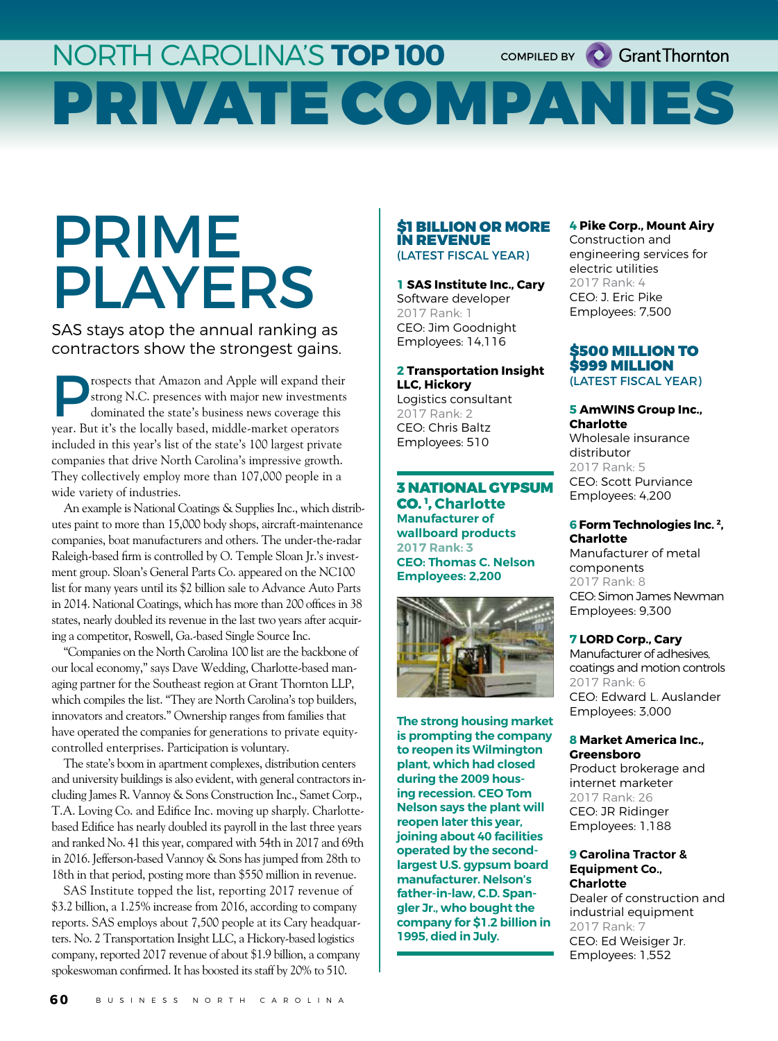## NORTH CAROLINA'S **TOP 100** PRIVATE COMPANIES COMPILED BY **C** Grant Thornton

# PRIME PLAYERS

SAS stays atop the annual ranking as contractors show the strongest gains.

rospects that Amazon and Apple will expand their strong N.C. presences with major new investments dominated the state's business news coverage this year. But it's the locally based, middle-market operators included in this year's list of the state's 100 largest private companies that drive North Carolina's impressive growth. They collectively employ more than 107,000 people in a wide variety of industries.

An example is National Coatings & Supplies Inc., which distributes paint to more than 15,000 body shops, aircraft-maintenance companies, boat manufacturers and others. The under-the-radar Raleigh-based firm is controlled by O. Temple Sloan Jr.'s investment group. Sloan's General Parts Co. appeared on the NC100 list for many years until its \$2 billion sale to Advance Auto Parts in 2014. National Coatings, which has more than 200 offices in 38 states, nearly doubled its revenue in the last two years after acquiring a competitor, Roswell, Ga.-based Single Source Inc.

"Companies on the North Carolina 100 list are the backbone of our local economy," says Dave Wedding, Charlotte-based managing partner for the Southeast region at Grant Thornton LLP, which compiles the list. "They are North Carolina's top builders, innovators and creators." Ownership ranges from families that have operated the companies for generations to private equitycontrolled enterprises. Participation is voluntary.

The state's boom in apartment complexes, distribution centers and university buildings is also evident, with general contractors including James R. Vannoy & Sons Construction Inc., Samet Corp., T.A. Loving Co. and Edifice Inc. moving up sharply. Charlottebased Edifice has nearly doubled its payroll in the last three years and ranked No. 41 this year, compared with 54th in 2017 and 69th in 2016. Jefferson-based Vannoy & Sons has jumped from 28th to 18th in that period, posting more than \$550 million in revenue.

SAS Institute topped the list, reporting 2017 revenue of \$3.2 billion, a 1.25% increase from 2016, according to company reports. SAS employs about 7,500 people at its Cary headquarters. No. 2 Transportation Insight LLC, a Hickory-based logistics company, reported 2017 revenue of about \$1.9 billion, a company spokeswoman confirmed. It has boosted its staff by 20% to 510.

#### \$1 BILLION OR MORE IN REVENUE (LATEST FISCAL YEAR)

**1 SAS Institute Inc., Cary** Software developer 2017 Rank: 1 CEO: Jim Goodnight Employees: 14,116

**2 Transportation Insight LLC, Hickory** Logistics consultant 2017 Rank: 2 CEO: Chris Baltz Employees: 510

3 NATIONAL GYPSUM CO. 1 , **Charlotte Manufacturer of wallboard products 2017 Rank: 3 CEO: Thomas C. Nelson Employees: 2,200**



**The strong housing market is prompting the company to reopen its Wilmington plant, which had closed during the 2009 housing recession. CEO Tom Nelson says the plant will reopen later this year, joining about 40 facilities operated by the secondlargest U.S. gypsum board manufacturer. Nelson's father-in-law, C.D. Spangler Jr., who bought the company for \$1.2 billion in 1995, died in July.**

## **4 Pike Corp., Mount Airy**

Construction and engineering services for electric utilities 2017 Rank: 4 CEO: J. Eric Pike Employees: 7,500

## \$500 MILLION TO \$999 MILLION

(LATEST FISCAL YEAR)

## **5 AmWINS Group Inc., Charlotte** Wholesale insurance distributor

2017 Rank: 5 CEO: Scott Purviance Employees: 4,200

#### **6 Form Technologies Inc. 2, Charlotte**

Manufacturer of metal components 2017 Rank: 8 CEO: Simon James Newman Employees: 9,300

## **7 LORD Corp., Cary**

Manufacturer of adhesives, coatings and motion controls 2017 Rank: 6 CEO: Edward L. Auslander Employees: 3,000

#### **8 Market America Inc., Greensboro**

Product brokerage and internet marketer 2017 Rank: 26 CEO: JR Ridinger Employees: 1,188

#### **9 Carolina Tractor & Equipment Co., Charlotte**

Dealer of construction and industrial equipment 2017 Rank: 7 CEO: Ed Weisiger Jr. Employees: 1,552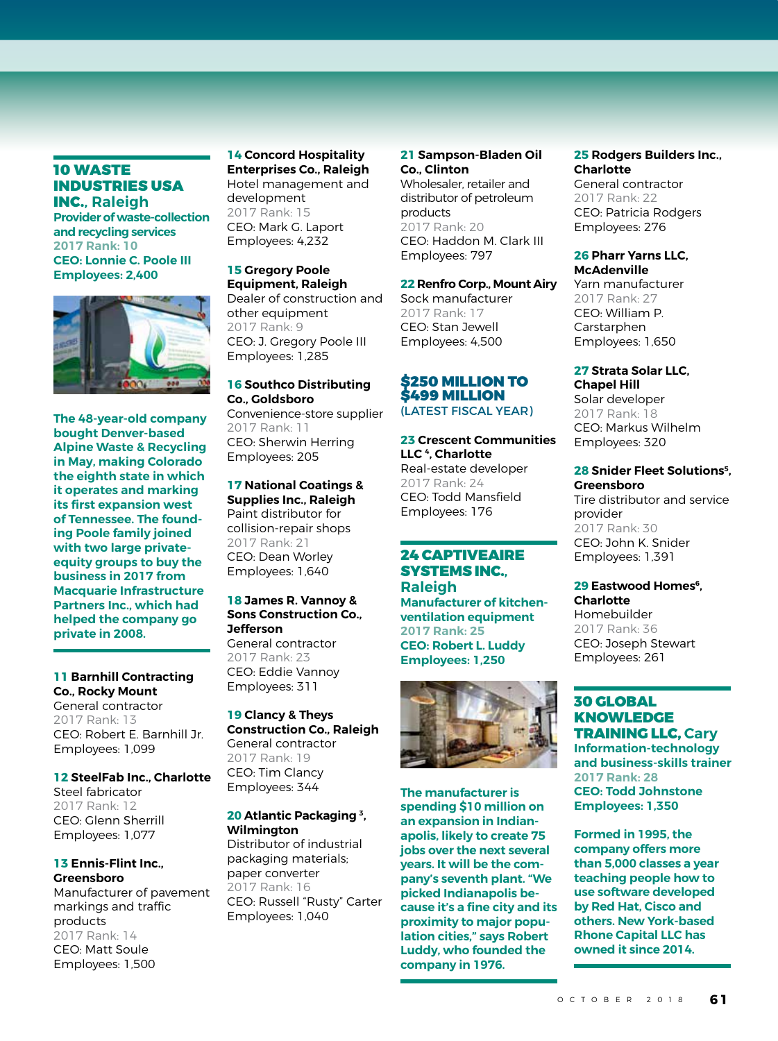## 10 WASTE INDUSTRIES USA INC.**, Raleigh**

**Provider of waste-collection and recycling services 2017 Rank: 10 CEO: Lonnie C. Poole III Employees: 2,400**



**The 48-year-old company bought Denver-based Alpine Waste & Recycling in May, making Colorado the eighth state in which it operates and marking its first expansion west of Tennessee. The founding Poole family joined with two large privateequity groups to buy the business in 2017 from Macquarie Infrastructure Partners Inc., which had helped the company go private in 2008.**

## **11 Barnhill Contracting Co., Rocky Mount** General contractor 2017 Rank: 13

CEO: Robert E. Barnhill Jr. Employees: 1,099

**12 SteelFab Inc., Charlotte** Steel fabricator 2017 Rank: 12 CEO: Glenn Sherrill Employees: 1,077

## **13 Ennis-Flint Inc., Greensboro**

Manufacturer of pavement markings and traffic products 2017 Rank: 14 CEO: Matt Soule Employees: 1,500

**14 Concord Hospitality Enterprises Co., Raleigh** Hotel management and development 2017 Rank: 15 CEO: Mark G. Laport Employees: 4,232

#### **15 Gregory Poole Equipment, Raleigh**

Dealer of construction and other equipment 2017 Rank: 9 CEO: J. Gregory Poole III Employees: 1,285

## **16 Southco Distributing Co., Goldsboro** Convenience-store supplier

2017 Rank: 11 CEO: Sherwin Herring Employees: 205

## **17 National Coatings &**

**Supplies Inc., Raleigh** Paint distributor for collision-repair shops 2017 Rank: 21 CEO: Dean Worley Employees: 1,640

## **18 James R. Vannoy & Sons Construction Co., Jefferson**

General contractor 2017 Rank: 23 CEO: Eddie Vannoy Employees: 311

**19 Clancy & Theys Construction Co., Raleigh** General contractor 2017 Rank: 19 CEO: Tim Clancy Employees: 344

## **20 Atlantic Packaging 3, Wilmington**

Distributor of industrial packaging materials; paper converter .<br>2017 Rank: 16 CEO: Russell "Rusty" Carter Employees: 1,040

## **21 Sampson-Bladen Oil Co., Clinton**

Wholesaler, retailer and distributor of petroleum products 2017 Rank: 20 CEO: Haddon M. Clark III Employees: 797

## **22 Renfro Corp., Mount Airy**

Sock manufacturer 2017 Rank: 17 CEO: Stan Jewell Employees: 4,500

## \$250 MILLION TO \$499 MILLION (LATEST FISCAL YEAR)

## **23 Crescent Communities LLC 4, Charlotte** Real-estate developer 2017 Rank: 24 CEO: Todd Mansfield Employees: 176

## 24 CAPTIVEAIRE SYSTEMS INC.**,**

**Raleigh Manufacturer of kitchenventilation equipment 2017 Rank: 25 CEO: Robert L. Luddy Employees: 1,250**



**The manufacturer is spending \$10 million on an expansion in Indianapolis, likely to create 75 jobs over the next several years. It will be the company's seventh plant. "We picked Indianapolis because it's a fine city and its proximity to major population cities," says Robert Luddy, who founded the company in 1976.**

## **25 Rodgers Builders Inc., Charlotte**

General contractor 2017 Rank: 22 CEO: Patricia Rodgers Employees: 276

## **26 Pharr Yarns LLC, McAdenville**

Yarn manufacturer 2017 Rank: 27 CEO: William P. Carstarphen Employees: 1,650

## **27 Strata Solar LLC, Chapel Hill**

Solar developer 2017 Rank: 18 CEO: Markus Wilhelm Employees: 320

#### **28 Snider Fleet Solutions5, Greensboro**

Tire distributor and service provider 2017 Rank: 30 CEO: John K. Snider Employees: 1,391

## **29 Eastwood Homes**<sup>6</sup>. **Charlotte**

Homebuilder 2017 Rank: 36 CEO: Joseph Stewart Employees: 261

## 30 GLOBAL KNOWLEDGE TRAINING LLC, **Cary Information-technology and business-skills trainer 2017 Rank: 28 CEO: Todd Johnstone Employees: 1,350**

**Formed in 1995, the company offers more than 5,000 classes a year teaching people how to use software developed by Red Hat, Cisco and others. New York-based Rhone Capital LLC has owned it since 2014.**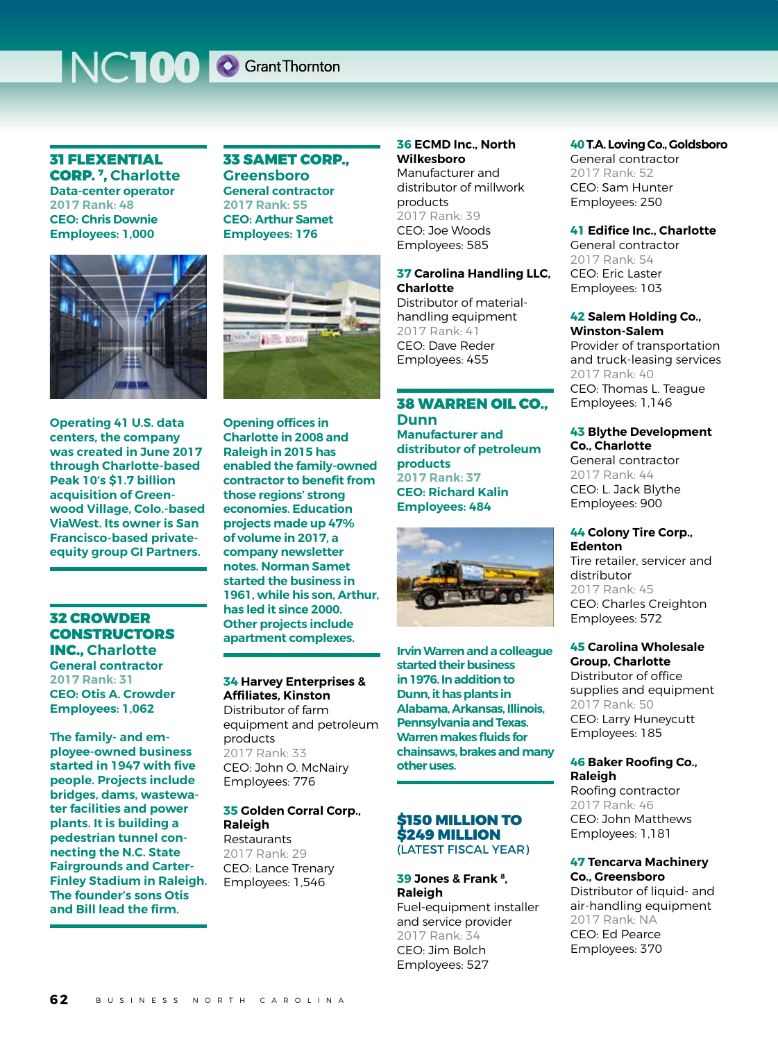## NCTOO C Grant Thornton

## 31 FLEXENTIAL CORP. 7, **Charlotte Data-center operator**

**2017 Rank: 48 CEO: Chris Downie Employees: 1,000**



**Operating 41 U.S. data centers, the company was created in June 2017 through Charlotte-based Peak 10's \$1.7 billion acquisition of Greenwood Village, Colo.-based ViaWest. Its owner is San Francisco-based privateequity group GI Partners.**

## 32 CROWDER **CONSTRUCTORS** INC., **Charlotte**

**General contractor 2017 Rank: 31 CEO: Otis A. Crowder Employees: 1,062**

**The family- and employee-owned business started in 1947 with five people. Projects include bridges, dams, wastewater facilities and power plants. It is building a pedestrian tunnel connecting the N.C. State Fairgrounds and Carter-Finley Stadium in Raleigh. The founder's sons Otis and Bill lead the firm.**

## 33 SAMET CORP., **Greensboro General contractor 2017 Rank: 55 CEO: Arthur Samet**

**Employees: 176**

**EXAMPLE ROOM** 

**Opening offices in Charlotte in 2008 and Raleigh in 2015 has enabled the family-owned contractor to benefit from those regions' strong economies. Education projects made up 47% of volume in 2017, a company newsletter notes. Norman Samet started the business in 1961, while his son, Arthur, has led it since 2000. Other projects include apartment complexes.**

**34 Harvey Enterprises & Affiliates, Kinston** Distributor of farm equipment and petroleum products 2017 Rank: 33 CEO: John O. McNairy Employees: 776

#### **35 Golden Corral Corp., Raleigh** Restaurants

2017 Rank: 29 CEO: Lance Trenary Employees: 1,546

## **36 ECMD Inc., North Wilkesboro**

Manufacturer and distributor of millwork products .<br>2017 Rank: 39 CEO: Joe Woods Employees: 585

## **37 Carolina Handling LLC, Charlotte**

Distributor of materialhandling equipment 2017 Rank: 41 CEO: Dave Reder Employees: 455

## 38 WARREN OIL CO., **Dunn Manufacturer and distributor of petroleum products**

**2017 Rank: 37 CEO: Richard Kalin Employees: 484**



**Irvin Warren and a colleague started their business in 1976. In addition to Dunn, it has plants in Alabama, Arkansas, Illinois, Pennsylvania and Texas. Warren makes fluids for chainsaws, brakes and many other uses.**

## \$150 MILLION TO \$249 MILLION (LATEST FISCAL YEAR)

## **39 Jones & Frank 8, Raleigh**

Fuel-equipment installer and service provider 2017 Rank: 34 CEO: Jim Bolch Employees: 527

## **40 T.A. Loving Co., Goldsboro**

General contractor 2017 Rank: 52 CEO: Sam Hunter Employees: 250

## **41 Edifice Inc., Charlotte**

General contractor 2017 Rank: 54 CEO: Eric Laster Employees: 103

## **42 Salem Holding Co., Winston-Salem**

Provider of transportation and truck-leasing services 2017 Rank: 40 CEO: Thomas L. Teague Employees: 1,146

## **43 Blythe Development Co., Charlotte**

General contractor 2017 Rank: 44 CEO: L. Jack Blythe Employees: 900

#### **44 Colony Tire Corp., Edenton**

Tire retailer, servicer and distributor 2017 Rank: 45 CEO: Charles Creighton Employees: 572

## **45 Carolina Wholesale Group, Charlotte**

Distributor of office supplies and equipment 2017 Rank: 50 CEO: Larry Huneycutt Employees: 185

## **46 Baker Roofing Co., Raleigh**

Roofing contractor 2017 Rank: 46 CEO: John Matthews Employees: 1,181

## **47 Tencarva Machinery Co., Greensboro**

Distributor of liquid- and air-handling equipment 2017 Rank: NA CEO: Ed Pearce Employees: 370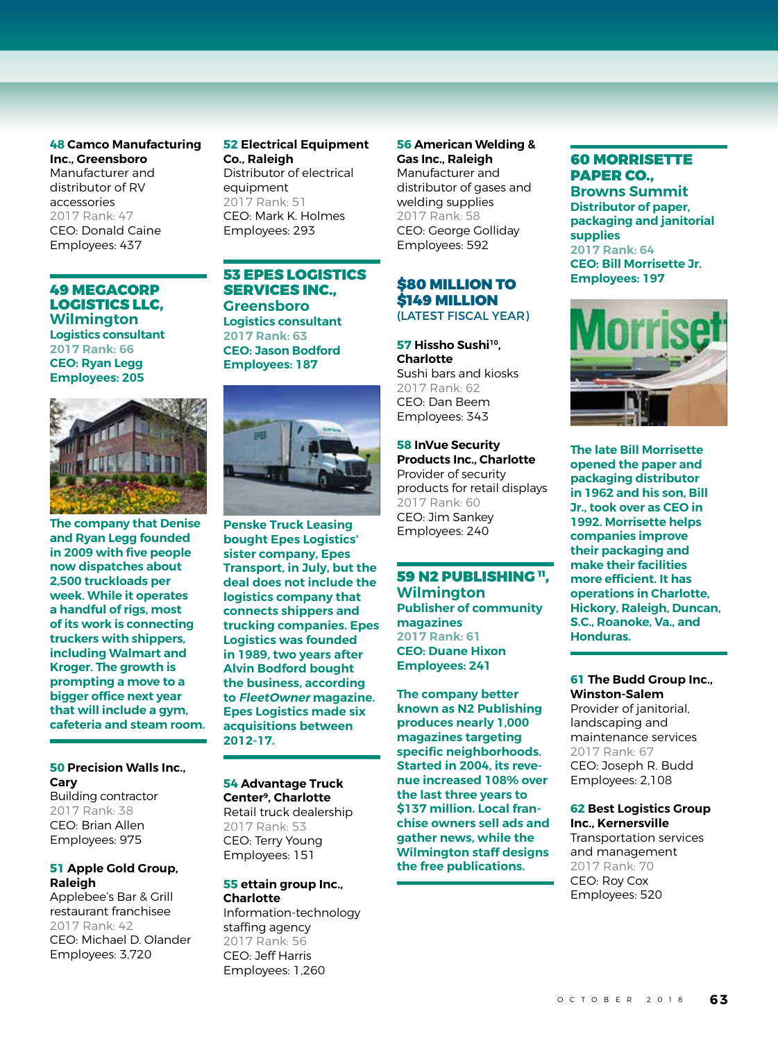#### **48 Camco Manufacturing Inc., Greensboro**

Manufacturer and distributor of RV accessories 2017 Rank: 47 CEO: Donald Caine Employees: 437

49 MEGACORP LOGISTICS LLC, **Wilmington Logistics consultant 2017 Rank: 66**

**CEO: Ryan Legg Employees: 205**



**The company that Denise and Ryan Legg founded in 2009 with five people now dispatches about 2,500 truckloads per week. While it operates a handful of rigs, most of its work is connecting truckers with shippers, including Walmart and Kroger. The growth is prompting a move to a bigger office next year that will include a gym, cafeteria and steam room.**

## **50 Precision Walls Inc., Cary**

Building contractor 2017 Rank: 38 CEO: Brian Allen Employees: 975

## **51 Apple Gold Group, Raleigh**

Applebee's Bar & Grill restaurant franchisee 2017 Rank: 42 CEO: Michael D. Olander Employees: 3,720

## **52 Electrical Equipment Co., Raleigh** Distributor of electrical equipment

2017 Rank: 51 CEO: Mark K. Holmes Employees: 293

## 53 EPES LOGISTICS SERVICES INC., **Greensboro**

**Logistics consultant 2017 Rank: 63 CEO: Jason Bodford Employees: 187**



**Penske Truck Leasing bought Epes Logistics' sister company, Epes Transport, in July, but the deal does not include the logistics company that connects shippers and trucking companies. Epes Logistics was founded in 1989, two years after Alvin Bodford bought the business, according to FleetOwner magazine. Epes Logistics made six acquisitions between 2012-17.**

#### **54 Advantage Truck Center9, Charlotte** Retail truck dealership 2017 Rank: 53 CEO: Terry Young Employees: 151

## **55 ettain group Inc., Charlotte**

Information-technology staffing agency 2017 Rank: 56 CEO: Jeff Harris Employees: 1,260

## **56 American Welding & Gas Inc., Raleigh**  Manufacturer and distributor of gases and

welding supplies 2017 Rank: 58 CEO: George Golliday Employees: 592

## \$80 MILLION TO \$149 MILLION (LATEST FISCAL YEAR)

**57 Hissho Sushi10, Charlotte**  Sushi bars and kiosks 2017 Rank: 62 CEO: Dan Beem Employees: 343

## **58 InVue Security Products Inc., Charlotte**

Provider of security products for retail displays 2017 Rank: 60 CEO: Jim Sankey Employees: 240

## 59 N2 PUBLISHING ". **Wilmington Publisher of community magazines 2017 Rank: 61 CEO: Duane Hixon Employees: 241**

**The company better known as N2 Publishing produces nearly 1,000 magazines targeting specific neighborhoods. Started in 2004, its revenue increased 108% over the last three years to \$137 million. Local franchise owners sell ads and gather news, while the Wilmington staff designs the free publications.**

## 60 MORRISETTE PAPER CO.,

**Browns Summit Distributor of paper, packaging and janitorial supplies 2017 Rank: 64 CEO: Bill Morrisette Jr. Employees: 197**



**The late Bill Morrisette opened the paper and packaging distributor in 1962 and his son, Bill Jr., took over as CEO in 1992. Morrisette helps companies improve their packaging and make their facilities more efficient. It has operations in Charlotte, Hickory, Raleigh, Duncan, S.C., Roanoke, Va., and Honduras.**

#### **61 The Budd Group Inc., Winston-Salem**

Provider of janitorial, landscaping and maintenance services 2017 Rank: 67 CEO: Joseph R. Budd Employees: 2,108

#### **62 Best Logistics Group Inc., Kernersville**

Transportation services and management 2017 Rank: 70 CEO: Roy Cox Employees: 520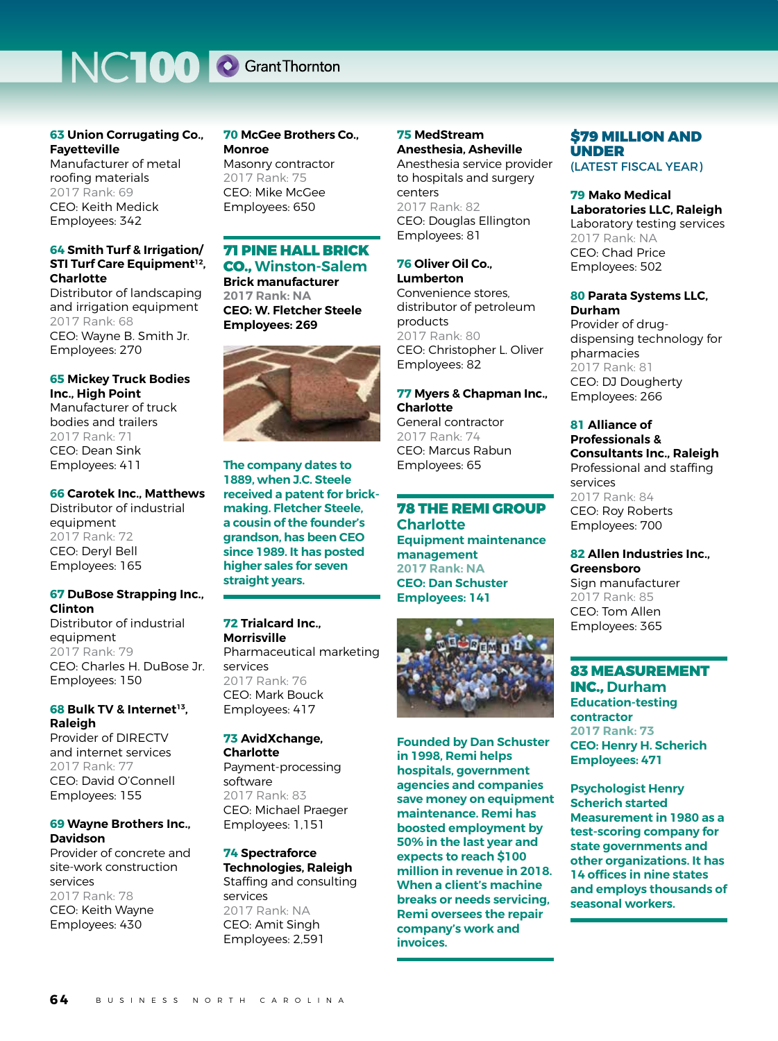## NCTOO C Grant Thornton

## **63 Union Corrugating Co., Fayetteville**

Manufacturer of metal roofing materials 2017 Rank: 69 CEO: Keith Medick Employees: 342

## **64 Smith Turf & Irrigation/ STI Turf Care Equipment<sup>12</sup>. Charlotte**

Distributor of landscaping and irrigation equipment 2017 Rank: 68 CEO: Wayne B. Smith Jr. Employees: 270

## **65 Mickey Truck Bodies Inc., High Point**

Manufacturer of truck bodies and trailers 2017 Rank: 71 CEO: Dean Sink Employees: 411

## **66 Carotek Inc., Matthews**

Distributor of industrial equipment 2017 Rank: 72 CEO: Deryl Bell Employees: 165

#### **67 DuBose Strapping Inc., Clinton**

Distributor of industrial equipment 2017 Rank: 79 CEO: Charles H. DuBose Jr. Employees: 150

## **68 Bulk TV & Internet<sup>13</sup>. Raleigh**

Provider of DIRECTV and internet services 2017 Rank: 77 CEO: David O'Connell Employees: 155

## **69 Wayne Brothers Inc., Davidson**

Provider of concrete and site-work construction services 2017 Rank: 78 CEO: Keith Wayne Employees: 430

**70 McGee Brothers Co., Monroe** Masonry contractor 2017 Rank: 75 CEO: Mike McGee Employees: 650

## 71 PINE HALL BRICK CO., **Winston-Salem**

**Brick manufacturer 2017 Rank: NA CEO: W. Fletcher Steele Employees: 269**



**The company dates to 1889, when J.C. Steele received a patent for brickmaking. Fletcher Steele, a cousin of the founder's grandson, has been CEO since 1989. It has posted higher sales for seven straight years.**

## **72 Trialcard Inc., Morrisville** Pharmaceutical marketing services 2017 Rank: 76 CEO: Mark Bouck Employees: 417

#### **73 AvidXchange, Charlotte** Payment-processing software 2017 Rank: 83 CEO: Michael Praeger Employees: 1,151

**74 Spectraforce Technologies, Raleigh** Staffing and consulting services 2017 Rank: NA CEO: Amit Singh Employees: 2,591

## **75 MedStream Anesthesia, Asheville**

Anesthesia service provider to hospitals and surgery centers 2017 Rank: 82 CEO: Douglas Ellington Employees: 81

## **76 Oliver Oil Co.,**

**Lumberton** Convenience stores, distributor of petroleum products 2017 Rank: 80 CEO: Christopher L. Oliver Employees: 82

## **77 Myers & Chapman Inc., Charlotte**

General contractor 2017 Rank: 74 CEO: Marcus Rabun Employees: 65

## 78 THE REMI GROUP **Charlotte Equipment maintenance management**

**2017 Rank: NA CEO: Dan Schuster Employees: 141**



**Founded by Dan Schuster in 1998, Remi helps hospitals, government agencies and companies save money on equipment maintenance. Remi has boosted employment by 50% in the last year and expects to reach \$100 million in revenue in 2018. When a client's machine breaks or needs servicing, Remi oversees the repair company's work and invoices.**

## \$79 MILLION AND UNDER

(LATEST FISCAL YEAR)

#### **79 Mako Medical Laboratories LLC, Raleigh** Laboratory testing services 2017 Rank: NA CEO: Chad Price Employees: 502

## **80 Parata Systems LLC, Durham**

Provider of drugdispensing technology for pharmacies 2017 Rank: 81 CEO: DJ Dougherty Employees: 266

## **81 Alliance of Professionals & Consultants Inc., Raleigh** Professional and staffing services 2017 Rank: 84 CEO: Roy Roberts Employees: 700

## **82 Allen Industries Inc., Greensboro**

Sign manufacturer 2017 Rank: 85 CEO: Tom Allen Employees: 365

## 83 MEASUREMENT INC., **Durham Education-testing contractor 2017 Rank: 73 CEO: Henry H. Scherich Employees: 471**

**Psychologist Henry Scherich started Measurement in 1980 as a test-scoring company for state governments and other organizations. It has 14 offices in nine states and employs thousands of seasonal workers.**